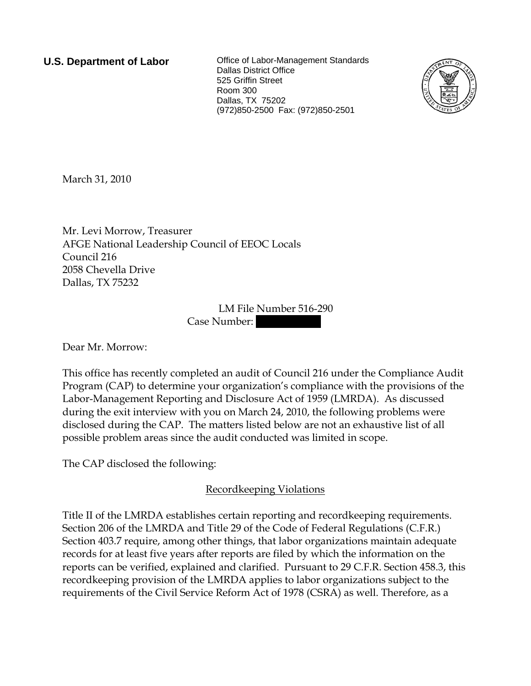**U.S. Department of Labor Collect** Office of Labor-Management Standards Dallas District Office 525 Griffin Street Room 300 Dallas, TX 75202 (972)850-2500 Fax: (972)850-2501



March 31, 2010

Mr. Levi Morrow, Treasurer AFGE National Leadership Council of EEOC Locals Council 216 2058 Chevella Drive Dallas, TX 75232

> LM File Number 516-290 Case Number:

Dear Mr. Morrow:

This office has recently completed an audit of Council 216 under the Compliance Audit Program (CAP) to determine your organization's compliance with the provisions of the Labor-Management Reporting and Disclosure Act of 1959 (LMRDA). As discussed during the exit interview with you on March 24, 2010, the following problems were disclosed during the CAP. The matters listed below are not an exhaustive list of all possible problem areas since the audit conducted was limited in scope.

The CAP disclosed the following:

# Recordkeeping Violations

Title II of the LMRDA establishes certain reporting and recordkeeping requirements. Section 206 of the LMRDA and Title 29 of the Code of Federal Regulations (C.F.R.) Section 403.7 require, among other things, that labor organizations maintain adequate records for at least five years after reports are filed by which the information on the reports can be verified, explained and clarified. Pursuant to 29 C.F.R. Section 458.3, this recordkeeping provision of the LMRDA applies to labor organizations subject to the requirements of the Civil Service Reform Act of 1978 (CSRA) as well. Therefore, as a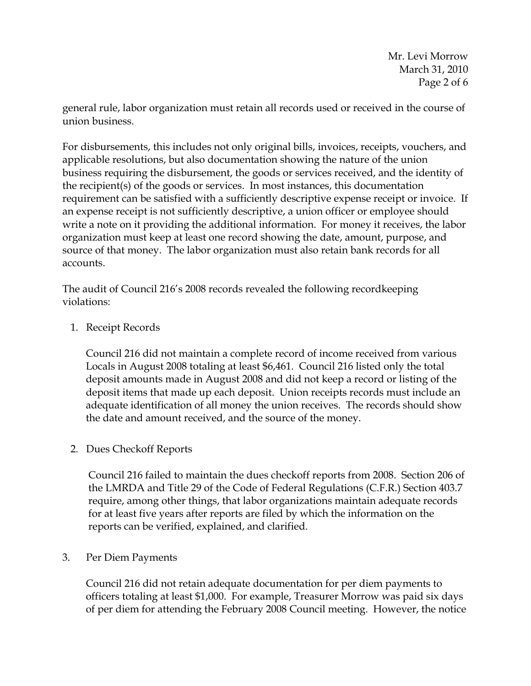general rule, labor organization must retain all records used or received in the course of union business.

For disbursements, this includes not only original bills, invoices, receipts, vouchers, and applicable resolutions, but also documentation showing the nature of the union business requiring the disbursement, the goods or services received, and the identity of the recipient(s) of the goods or services. In most instances, this documentation requirement can be satisfied with a sufficiently descriptive expense receipt or invoice. If an expense receipt is not sufficiently descriptive, a union officer or employee should write a note on it providing the additional information. For money it receives, the labor organization must keep at least one record showing the date, amount, purpose, and source of that money. The labor organization must also retain bank records for all accounts.

The audit of Council 216's 2008 records revealed the following recordkeeping violations:

# 1. Receipt Records

Council 216 did not maintain a complete record of income received from various Locals in August 2008 totaling at least \$6,461. Council 216 listed only the total deposit amounts made in August 2008 and did not keep a record or listing of the deposit items that made up each deposit. Union receipts records must include an adequate identification of all money the union receives. The records should show the date and amount received, and the source of the money.

# 2. Dues Checkoff Reports

Council 216 failed to maintain the dues checkoff reports from 2008. Section 206 of the LMRDA and Title 29 of the Code of Federal Regulations (C.F.R.) Section 403.7 require, among other things, that labor organizations maintain adequate records for at least five years after reports are filed by which the information on the reports can be verified, explained, and clarified.

# 3. Per Diem Payments

Council 216 did not retain adequate documentation for per diem payments to officers totaling at least \$1,000. For example, Treasurer Morrow was paid six days of per diem for attending the February 2008 Council meeting. However, the notice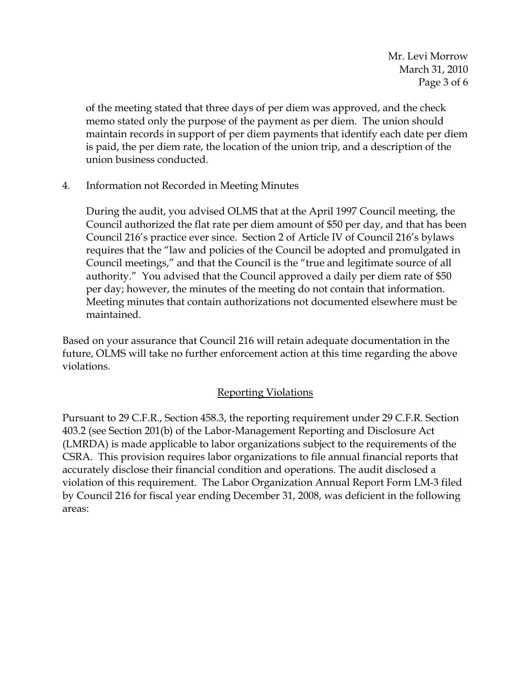of the meeting stated that three days of per diem was approved, and the check memo stated only the purpose of the payment as per diem. The union should maintain records in support of per diem payments that identify each date per diem is paid, the per diem rate, the location of the union trip, and a description of the union business conducted.

4. Information not Recorded in Meeting Minutes

During the audit, you advised OLMS that at the April 1997 Council meeting, the Council authorized the flat rate per diem amount of \$50 per day, and that has been Council 216's practice ever since. Section 2 of Article IV of Council 216's bylaws requires that the "law and policies of the Council be adopted and promulgated in Council meetings," and that the Council is the "true and legitimate source of all authority." You advised that the Council approved a daily per diem rate of \$50 per day; however, the minutes of the meeting do not contain that information. Meeting minutes that contain authorizations not documented elsewhere must be maintained.

Based on your assurance that Council 216 will retain adequate documentation in the future, OLMS will take no further enforcement action at this time regarding the above violations.

# Reporting Violations

Pursuant to 29 C.F.R., Section 458.3, the reporting requirement under 29 C.F.R. Section 403.2 (see Section 201(b) of the Labor-Management Reporting and Disclosure Act (LMRDA) is made applicable to labor organizations subject to the requirements of the CSRA. This provision requires labor organizations to file annual financial reports that accurately disclose their financial condition and operations. The audit disclosed a violation of this requirement. The Labor Organization Annual Report Form LM-3 filed by Council 216 for fiscal year ending December 31, 2008, was deficient in the following areas: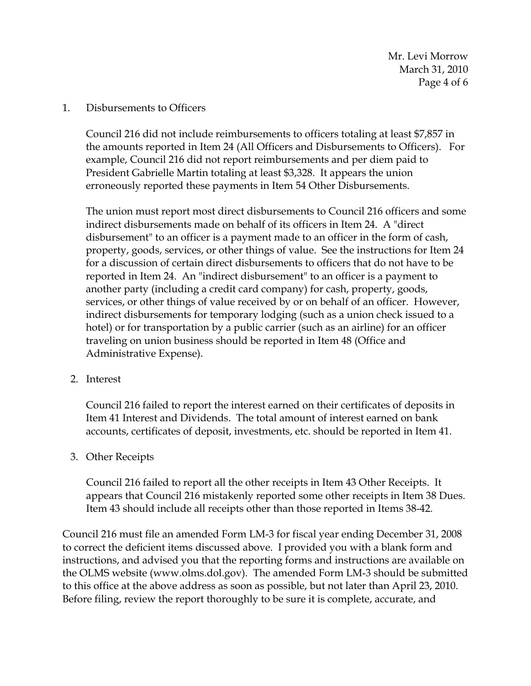Mr. Levi Morrow March 31, 2010 Page 4 of 6

#### 1. Disbursements to Officers

Council 216 did not include reimbursements to officers totaling at least \$7,857 in the amounts reported in Item 24 (All Officers and Disbursements to Officers). For example, Council 216 did not report reimbursements and per diem paid to President Gabrielle Martin totaling at least \$3,328. It appears the union erroneously reported these payments in Item 54 Other Disbursements.

The union must report most direct disbursements to Council 216 officers and some indirect disbursements made on behalf of its officers in Item 24. A "direct disbursement" to an officer is a payment made to an officer in the form of cash, property, goods, services, or other things of value. See the instructions for Item 24 for a discussion of certain direct disbursements to officers that do not have to be reported in Item 24. An "indirect disbursement" to an officer is a payment to another party (including a credit card company) for cash, property, goods, services, or other things of value received by or on behalf of an officer. However, indirect disbursements for temporary lodging (such as a union check issued to a hotel) or for transportation by a public carrier (such as an airline) for an officer traveling on union business should be reported in Item 48 (Office and Administrative Expense).

2. Interest

Council 216 failed to report the interest earned on their certificates of deposits in Item 41 Interest and Dividends. The total amount of interest earned on bank accounts, certificates of deposit, investments, etc. should be reported in Item 41.

3. Other Receipts

Council 216 failed to report all the other receipts in Item 43 Other Receipts. It appears that Council 216 mistakenly reported some other receipts in Item 38 Dues. Item 43 should include all receipts other than those reported in Items 38-42.

Council 216 must file an amended Form LM-3 for fiscal year ending December 31, 2008 to correct the deficient items discussed above. I provided you with a blank form and instructions, and advised you that the reporting forms and instructions are available on the OLMS website (www.olms.dol.gov). The amended Form LM-3 should be submitted to this office at the above address as soon as possible, but not later than April 23, 2010. Before filing, review the report thoroughly to be sure it is complete, accurate, and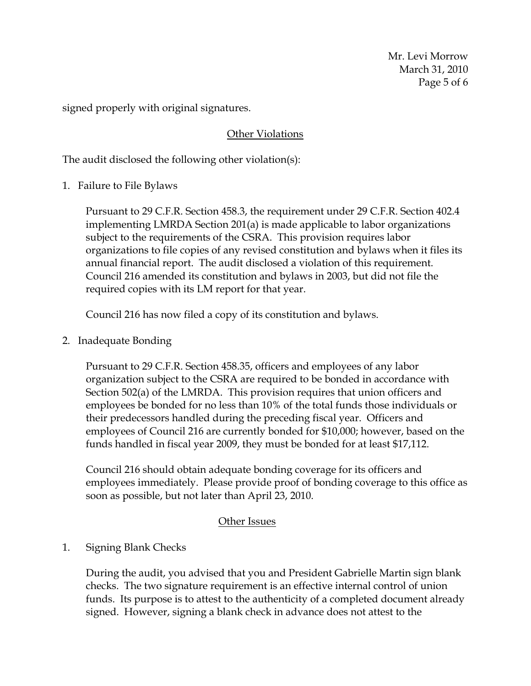Mr. Levi Morrow March 31, 2010 Page 5 of 6

signed properly with original signatures.

#### Other Violations

The audit disclosed the following other violation(s):

1. Failure to File Bylaws

Pursuant to 29 C.F.R. Section 458.3, the requirement under 29 C.F.R. Section 402.4 implementing LMRDA Section 201(a) is made applicable to labor organizations subject to the requirements of the CSRA. This provision requires labor organizations to file copies of any revised constitution and bylaws when it files its annual financial report. The audit disclosed a violation of this requirement. Council 216 amended its constitution and bylaws in 2003, but did not file the required copies with its LM report for that year.

Council 216 has now filed a copy of its constitution and bylaws.

2. Inadequate Bonding

Pursuant to 29 C.F.R. Section 458.35, officers and employees of any labor organization subject to the CSRA are required to be bonded in accordance with Section 502(a) of the LMRDA. This provision requires that union officers and employees be bonded for no less than 10% of the total funds those individuals or their predecessors handled during the preceding fiscal year. Officers and employees of Council 216 are currently bonded for \$10,000; however, based on the funds handled in fiscal year 2009, they must be bonded for at least \$17,112.

Council 216 should obtain adequate bonding coverage for its officers and employees immediately. Please provide proof of bonding coverage to this office as soon as possible, but not later than April 23, 2010.

#### Other Issues

#### 1. Signing Blank Checks

During the audit, you advised that you and President Gabrielle Martin sign blank checks. The two signature requirement is an effective internal control of union funds. Its purpose is to attest to the authenticity of a completed document already signed. However, signing a blank check in advance does not attest to the